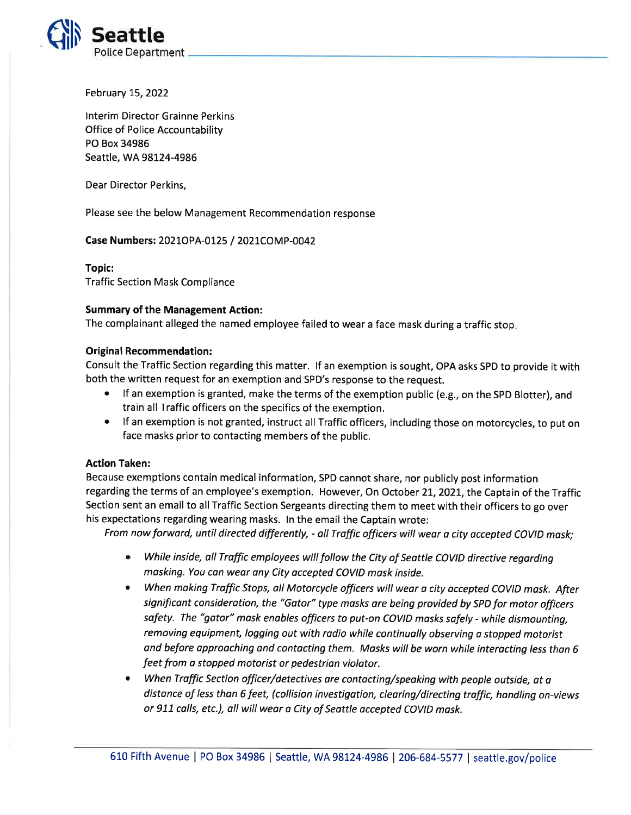

February 15,2022

lnterim Director Grainne Perkins Office of Police Accountability PO Box 34986 seattle, wA 98124-4986

Dear Director Perkins,

Please see the below Management Recommendation response

Case Numbers: 2021OPA-0125 / 2021COMP-0042

Topic:

Traffic Section Mask Compliance

## Summary of the Management Action:

The complainant alleged the named employee failed to wear a face mask during a traffic stop

## Original Recommendation:

Consult the Traffic Section regarding this matter. lf an exemption is sought, OPA asks SPD to provide it with both the written request for an exemption and SPD's response to the request.

- If an exemption is granted, make the terms of the exemption public (e.g., on the SPD Blotter), and train all Traffic officers on the specifics of the exemption.
- If an exemption is not granted, instruct all Traffic officers, including those on motorcycles, to put on face masks prior to contacting members of the public.

## Action Taken:

Because exemptions contain medical information, SPD cannot share, nor publicly post information regarding the terms of an employee's exemption. However, On October 21, 2021, the Captain of the Traffic Section sent an email to all Traffic Section Sergeants directing them to meet with their officers to go over his expectations regarding wearing masks. ln the email the Captain wrote:

From now forward, until directed differently, - all Traffic officers will wear a city accepted COVID mask;

- a While inside, all Traffic employees will follow the City of Seattle COVID directive regarding masking. You con weor dny City accepted COVID mask inside.
- $\bullet$  When making Traffic Stops, all Motorcycle officers will wear a city accepted COVID mask. After significant consideration, the "Gotor" type masks are being provided by SPD for motor officers safety. The "gator" mask enables officers to put-on COVID mosks sofely - while dismounting, removing equipment, logging out with radio while continually observing a stopped motorist and before approaching and contacting them. Masks will be worn while interacting less than 6 feet from o stopped motorist or pedestrian violator.
- When Traffic Section officer/detectives ore contocting/speaking with people outside, ot a a distance of less than 6 feet, (collision investigation, clearing/directing traffic, handling on-views or 911 calls, etc.), all will wear a City of Seattle accepted COVID mask.